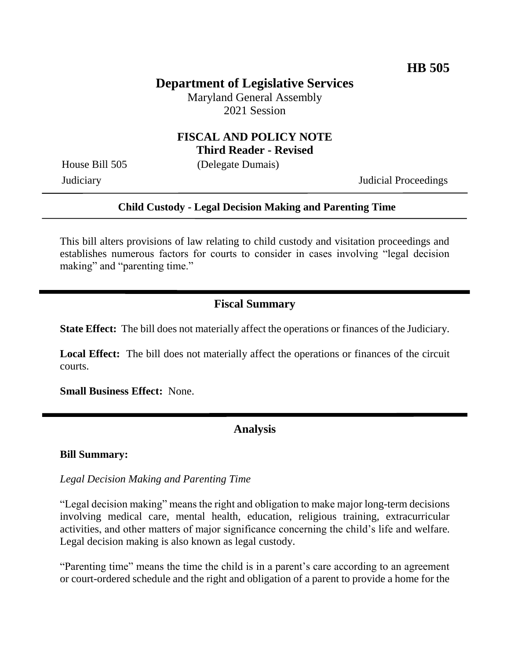# **Department of Legislative Services**

Maryland General Assembly 2021 Session

#### **FISCAL AND POLICY NOTE Third Reader - Revised**

House Bill 505 (Delegate Dumais)

Judiciary Judicial Proceedings

#### **Child Custody - Legal Decision Making and Parenting Time**

This bill alters provisions of law relating to child custody and visitation proceedings and establishes numerous factors for courts to consider in cases involving "legal decision making" and "parenting time."

### **Fiscal Summary**

**State Effect:** The bill does not materially affect the operations or finances of the Judiciary.

**Local Effect:** The bill does not materially affect the operations or finances of the circuit courts.

**Small Business Effect:** None.

#### **Analysis**

#### **Bill Summary:**

*Legal Decision Making and Parenting Time*

"Legal decision making" means the right and obligation to make major long-term decisions involving medical care, mental health, education, religious training, extracurricular activities, and other matters of major significance concerning the child's life and welfare. Legal decision making is also known as legal custody.

"Parenting time" means the time the child is in a parent's care according to an agreement or court-ordered schedule and the right and obligation of a parent to provide a home for the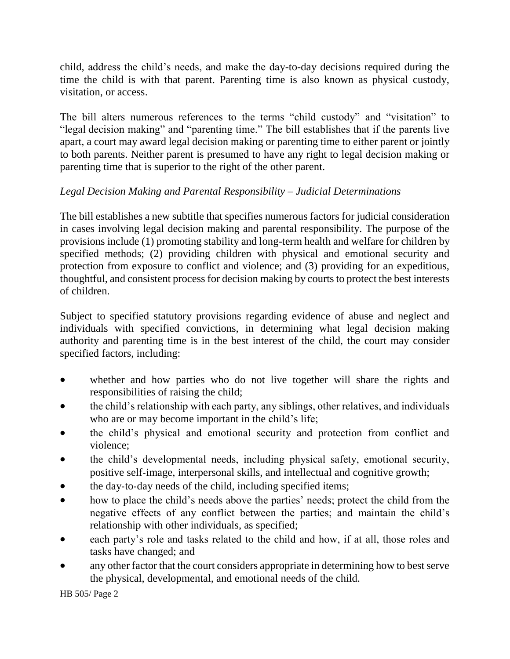child, address the child's needs, and make the day-to-day decisions required during the time the child is with that parent. Parenting time is also known as physical custody, visitation, or access.

The bill alters numerous references to the terms "child custody" and "visitation" to "legal decision making" and "parenting time." The bill establishes that if the parents live apart, a court may award legal decision making or parenting time to either parent or jointly to both parents. Neither parent is presumed to have any right to legal decision making or parenting time that is superior to the right of the other parent.

# *Legal Decision Making and Parental Responsibility – Judicial Determinations*

The bill establishes a new subtitle that specifies numerous factors for judicial consideration in cases involving legal decision making and parental responsibility. The purpose of the provisions include (1) promoting stability and long-term health and welfare for children by specified methods; (2) providing children with physical and emotional security and protection from exposure to conflict and violence; and (3) providing for an expeditious, thoughtful, and consistent process for decision making by courts to protect the best interests of children.

Subject to specified statutory provisions regarding evidence of abuse and neglect and individuals with specified convictions, in determining what legal decision making authority and parenting time is in the best interest of the child, the court may consider specified factors, including:

- whether and how parties who do not live together will share the rights and responsibilities of raising the child;
- the child's relationship with each party, any siblings, other relatives, and individuals who are or may become important in the child's life;
- the child's physical and emotional security and protection from conflict and violence;
- the child's developmental needs, including physical safety, emotional security, positive self-image, interpersonal skills, and intellectual and cognitive growth;
- the day-to-day needs of the child, including specified items;
- how to place the child's needs above the parties' needs; protect the child from the negative effects of any conflict between the parties; and maintain the child's relationship with other individuals, as specified;
- each party's role and tasks related to the child and how, if at all, those roles and tasks have changed; and
- any other factor that the court considers appropriate in determining how to best serve the physical, developmental, and emotional needs of the child.

HB 505/ Page 2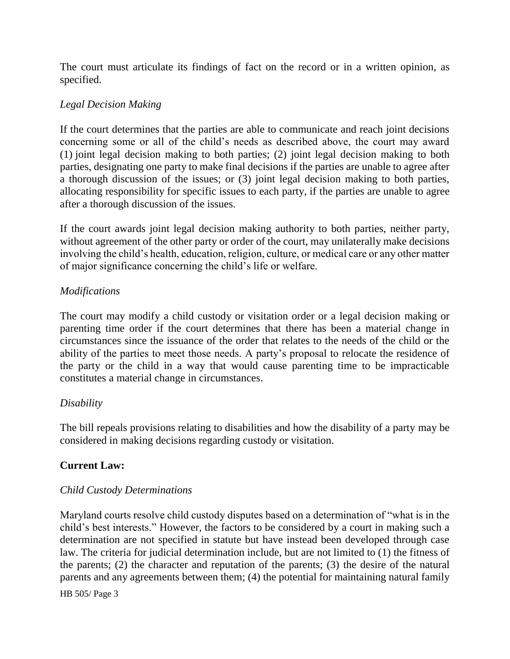The court must articulate its findings of fact on the record or in a written opinion, as specified.

### *Legal Decision Making*

If the court determines that the parties are able to communicate and reach joint decisions concerning some or all of the child's needs as described above, the court may award (1) joint legal decision making to both parties; (2) joint legal decision making to both parties, designating one party to make final decisions if the parties are unable to agree after a thorough discussion of the issues; or (3) joint legal decision making to both parties, allocating responsibility for specific issues to each party, if the parties are unable to agree after a thorough discussion of the issues.

If the court awards joint legal decision making authority to both parties, neither party, without agreement of the other party or order of the court, may unilaterally make decisions involving the child's health, education, religion, culture, or medical care or any other matter of major significance concerning the child's life or welfare.

#### *Modifications*

The court may modify a child custody or visitation order or a legal decision making or parenting time order if the court determines that there has been a material change in circumstances since the issuance of the order that relates to the needs of the child or the ability of the parties to meet those needs. A party's proposal to relocate the residence of the party or the child in a way that would cause parenting time to be impracticable constitutes a material change in circumstances.

#### *Disability*

The bill repeals provisions relating to disabilities and how the disability of a party may be considered in making decisions regarding custody or visitation.

## **Current Law:**

#### *Child Custody Determinations*

Maryland courts resolve child custody disputes based on a determination of "what is in the child's best interests." However, the factors to be considered by a court in making such a determination are not specified in statute but have instead been developed through case law. The criteria for judicial determination include, but are not limited to (1) the fitness of the parents; (2) the character and reputation of the parents; (3) the desire of the natural parents and any agreements between them; (4) the potential for maintaining natural family

HB 505/ Page 3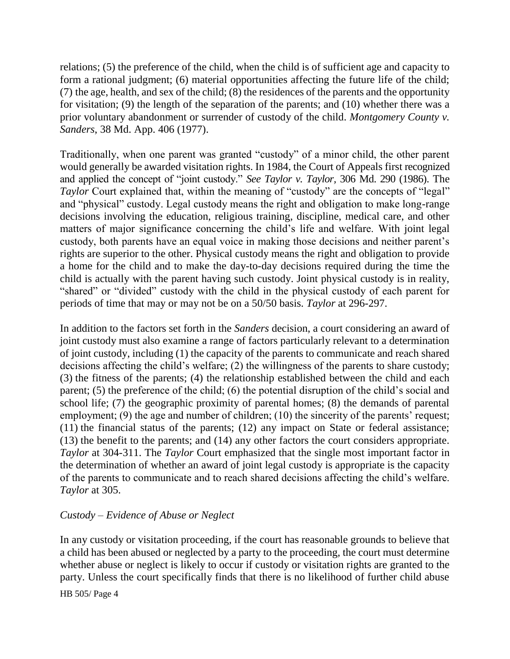relations; (5) the preference of the child, when the child is of sufficient age and capacity to form a rational judgment; (6) material opportunities affecting the future life of the child; (7) the age, health, and sex of the child; (8) the residences of the parents and the opportunity for visitation; (9) the length of the separation of the parents; and (10) whether there was a prior voluntary abandonment or surrender of custody of the child. *Montgomery County v. Sanders*, 38 Md. App. 406 (1977).

Traditionally, when one parent was granted "custody" of a minor child, the other parent would generally be awarded visitation rights. In 1984, the Court of Appeals first recognized and applied the concept of "joint custody." *See Taylor v. Taylor,* 306 Md. 290 (1986). The *Taylor* Court explained that, within the meaning of "custody" are the concepts of "legal" and "physical" custody. Legal custody means the right and obligation to make long-range decisions involving the education, religious training, discipline, medical care, and other matters of major significance concerning the child's life and welfare. With joint legal custody, both parents have an equal voice in making those decisions and neither parent's rights are superior to the other. Physical custody means the right and obligation to provide a home for the child and to make the day-to-day decisions required during the time the child is actually with the parent having such custody. Joint physical custody is in reality, "shared" or "divided" custody with the child in the physical custody of each parent for periods of time that may or may not be on a 50/50 basis. *Taylor* at 296-297.

In addition to the factors set forth in the *Sanders* decision, a court considering an award of joint custody must also examine a range of factors particularly relevant to a determination of joint custody, including (1) the capacity of the parents to communicate and reach shared decisions affecting the child's welfare; (2) the willingness of the parents to share custody; (3) the fitness of the parents; (4) the relationship established between the child and each parent; (5) the preference of the child; (6) the potential disruption of the child's social and school life; (7) the geographic proximity of parental homes; (8) the demands of parental employment; (9) the age and number of children; (10) the sincerity of the parents' request; (11) the financial status of the parents; (12) any impact on State or federal assistance; (13) the benefit to the parents; and (14) any other factors the court considers appropriate. *Taylor* at 304-311. The *Taylor* Court emphasized that the single most important factor in the determination of whether an award of joint legal custody is appropriate is the capacity of the parents to communicate and to reach shared decisions affecting the child's welfare. *Taylor* at 305.

#### *Custody – Evidence of Abuse or Neglect*

In any custody or visitation proceeding, if the court has reasonable grounds to believe that a child has been abused or neglected by a party to the proceeding, the court must determine whether abuse or neglect is likely to occur if custody or visitation rights are granted to the party. Unless the court specifically finds that there is no likelihood of further child abuse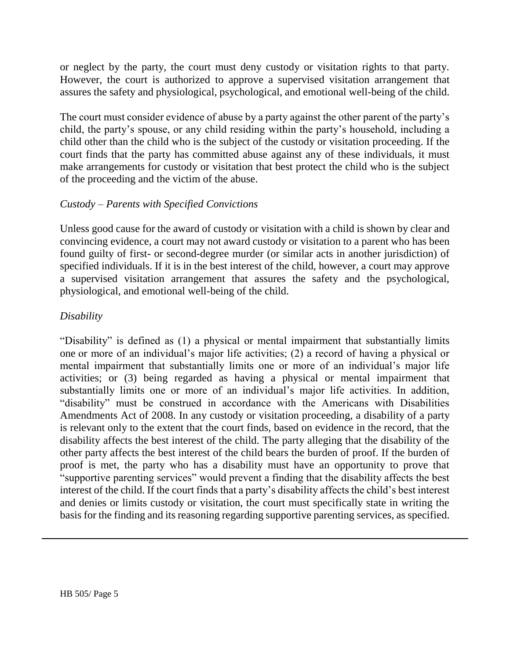or neglect by the party, the court must deny custody or visitation rights to that party. However, the court is authorized to approve a supervised visitation arrangement that assures the safety and physiological, psychological, and emotional well-being of the child.

The court must consider evidence of abuse by a party against the other parent of the party's child, the party's spouse, or any child residing within the party's household, including a child other than the child who is the subject of the custody or visitation proceeding. If the court finds that the party has committed abuse against any of these individuals, it must make arrangements for custody or visitation that best protect the child who is the subject of the proceeding and the victim of the abuse.

#### *Custody – Parents with Specified Convictions*

Unless good cause for the award of custody or visitation with a child is shown by clear and convincing evidence, a court may not award custody or visitation to a parent who has been found guilty of first- or second-degree murder (or similar acts in another jurisdiction) of specified individuals. If it is in the best interest of the child, however, a court may approve a supervised visitation arrangement that assures the safety and the psychological, physiological, and emotional well-being of the child.

### *Disability*

"Disability" is defined as (1) a physical or mental impairment that substantially limits one or more of an individual's major life activities; (2) a record of having a physical or mental impairment that substantially limits one or more of an individual's major life activities; or (3) being regarded as having a physical or mental impairment that substantially limits one or more of an individual's major life activities. In addition, "disability" must be construed in accordance with the Americans with Disabilities Amendments Act of 2008. In any custody or visitation proceeding, a disability of a party is relevant only to the extent that the court finds, based on evidence in the record, that the disability affects the best interest of the child. The party alleging that the disability of the other party affects the best interest of the child bears the burden of proof. If the burden of proof is met, the party who has a disability must have an opportunity to prove that "supportive parenting services" would prevent a finding that the disability affects the best interest of the child. If the court finds that a party's disability affects the child's best interest and denies or limits custody or visitation, the court must specifically state in writing the basis for the finding and its reasoning regarding supportive parenting services, as specified.